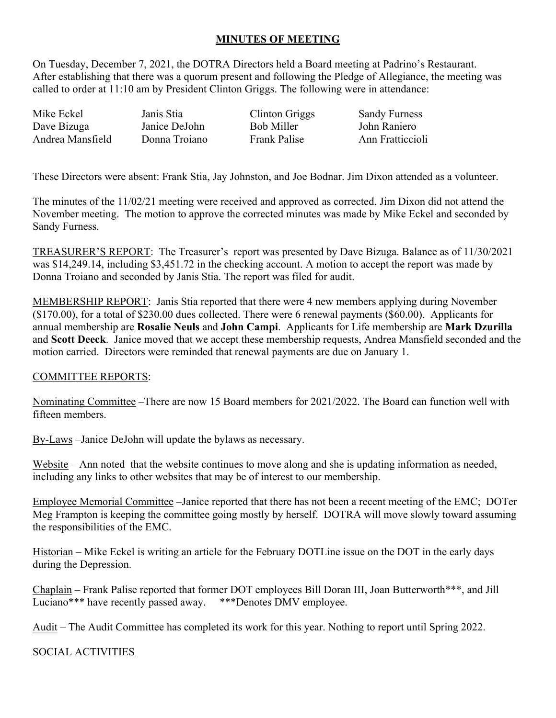## **MINUTES OF MEETING**

On Tuesday, December 7, 2021, the DOTRA Directors held a Board meeting at Padrino's Restaurant. After establishing that there was a quorum present and following the Pledge of Allegiance, the meeting was called to order at 11:10 am by President Clinton Griggs. The following were in attendance:

Mike Eckel **Janis Stia** Clinton Griggs Sandy Furness Dave Bizuga Andrea Mansfield Janice DeJohn Donna Troiano Bob Miller Frank Palise John Raniero Ann Fratticcioli

These Directors were absent: Frank Stia, Jay Johnston, and Joe Bodnar. Jim Dixon attended as a volunteer.

The minutes of the 11/02/21 meeting were received and approved as corrected. Jim Dixon did not attend the November meeting. The motion to approve the corrected minutes was made by Mike Eckel and seconded by Sandy Furness.

TREASURER'S REPORT: The Treasurer's report was presented by Dave Bizuga. Balance as of 11/30/2021 was \$14,249.14, including \$3,451.72 in the checking account. A motion to accept the report was made by Donna Troiano and seconded by Janis Stia. The report was filed for audit.

MEMBERSHIP REPORT: Janis Stia reported that there were 4 new members applying during November (\$170.00), for a total of \$230.00 dues collected. There were 6 renewal payments (\$60.00). Applicants for annual membership are **Rosalie Neuls** and **John Campi**. Applicants for Life membership are **Mark Dzurilla** and **Scott Deeck**. Janice moved that we accept these membership requests, Andrea Mansfield seconded and the motion carried. Directors were reminded that renewal payments are due on January 1.

## COMMITTEE REPORTS:

Nominating Committee –There are now 15 Board members for 2021/2022. The Board can function well with fifteen members.

By-Laws –Janice DeJohn will update the bylaws as necessary.

Website – Ann noted that the website continues to move along and she is updating information as needed, including any links to other websites that may be of interest to our membership.

Employee Memorial Committee –Janice reported that there has not been a recent meeting of the EMC; DOTer Meg Frampton is keeping the committee going mostly by herself. DOTRA will move slowly toward assuming the responsibilities of the EMC.

Historian – Mike Eckel is writing an article for the February DOTLine issue on the DOT in the early days during the Depression.

Chaplain – Frank Palise reported that former DOT employees Bill Doran III, Joan Butterworth\*\*\*, and Jill Luciano\*\*\* have recently passed away. \*\*\*Denotes DMV employee.

Audit – The Audit Committee has completed its work for this year. Nothing to report until Spring 2022.

SOCIAL ACTIVITIES